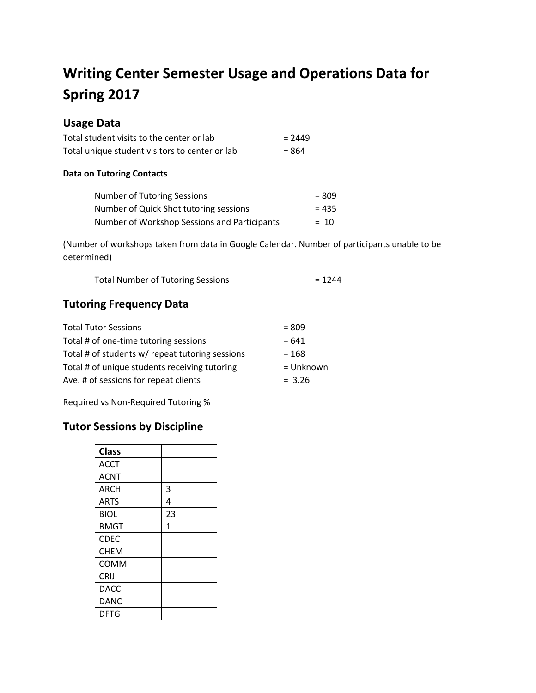# **Writing Center Semester Usage and Operations Data for Spring 2017**

# **Usage Data**

| Total student visits to the center or lab      | $= 2449$ |
|------------------------------------------------|----------|
| Total unique student visitors to center or lab | $= 864$  |

#### **Data on Tutoring Contacts**

| Number of Tutoring Sessions                  | $= 809$ |
|----------------------------------------------|---------|
| Number of Quick Shot tutoring sessions       | $= 435$ |
| Number of Workshop Sessions and Participants | $= 10$  |

(Number of workshops taken from data in Google Calendar. Number of participants unable to be determined)

| <b>Total Number of Tutoring Sessions</b> | $= 1244$ |
|------------------------------------------|----------|
|                                          |          |

## **Tutoring Frequency Data**

| <b>Total Tutor Sessions</b>                     | $= 809$   |
|-------------------------------------------------|-----------|
| Total # of one-time tutoring sessions           | $= 641$   |
| Total # of students w/ repeat tutoring sessions | $= 168$   |
| Total # of unique students receiving tutoring   | = Unknown |
| Ave. # of sessions for repeat clients           | $= 3.26$  |

Required vs Non-Required Tutoring %

## **Tutor Sessions by Discipline**

| <b>Class</b> |              |
|--------------|--------------|
| <b>ACCT</b>  |              |
| <b>ACNT</b>  |              |
| <b>ARCH</b>  | 3            |
| <b>ARTS</b>  | 4            |
| BIOL         | 23           |
| <b>BMGT</b>  | $\mathbf{1}$ |
| <b>CDEC</b>  |              |
| <b>CHEM</b>  |              |
| COMM         |              |
| CRIJ         |              |
| DACC         |              |
| <b>DANC</b>  |              |
| <b>DFTG</b>  |              |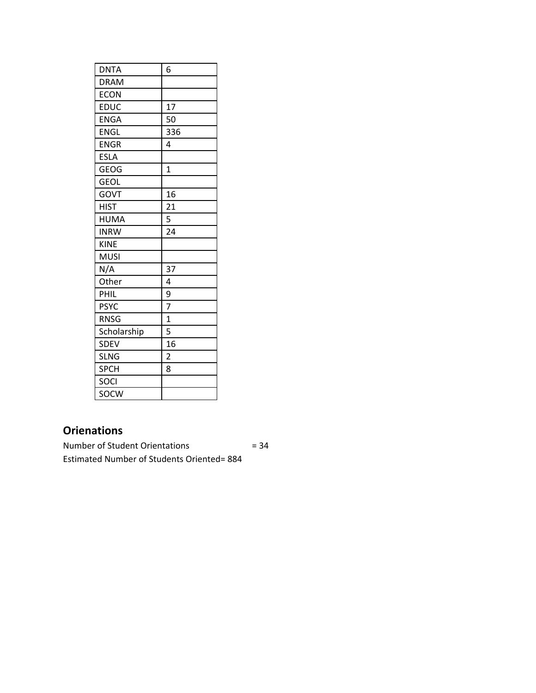| <b>DNTA</b> | 6              |
|-------------|----------------|
| <b>DRAM</b> |                |
| ECON        |                |
| <b>EDUC</b> | 17             |
| <b>ENGA</b> | 50             |
| <b>ENGL</b> | 336            |
| <b>ENGR</b> | 4              |
| <b>ESLA</b> |                |
| <b>GEOG</b> | $\overline{1}$ |
| <b>GEOL</b> |                |
| GOVT        | 16             |
| <b>HIST</b> | 21             |
| <b>HUMA</b> | 5              |
| <b>INRW</b> | 24             |
| <b>KINE</b> |                |
| <b>MUSI</b> |                |
| N/A         | 37             |
| Other       | 4              |
| <b>PHIL</b> | 9              |
| <b>PSYC</b> | $\overline{7}$ |
| <b>RNSG</b> | $\mathbf{1}$   |
| Scholarship | 5              |
| <b>SDEV</b> | 16             |
| <b>SLNG</b> | 2              |
| <b>SPCH</b> | 8              |
| SOCI        |                |
| SOCW        |                |

# **Orienations**

Number of Student Orientations = 34 Estimated Number of Students Oriented= 884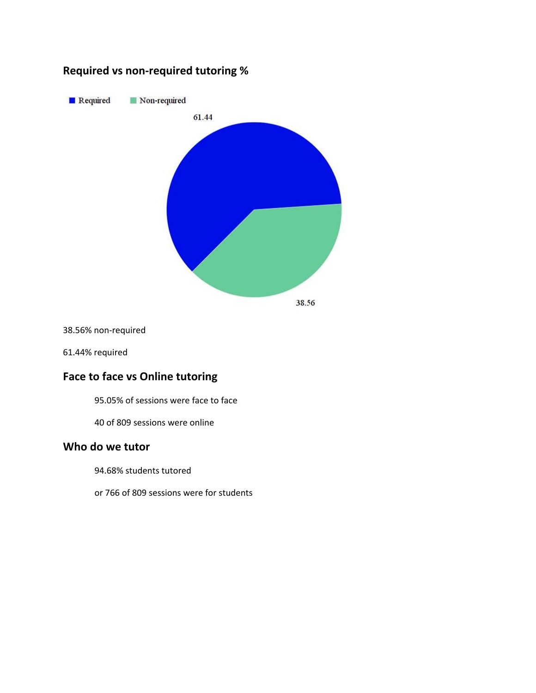## **Required vs non-required tutoring %**



38.56% non-required

61.44% required

# **Face to face vs Online tutoring**

95.05% of sessions were face to face

40 of 809 sessions were online

#### **Who do we tutor**

94.68% students tutored

or 766 of 809 sessions were for students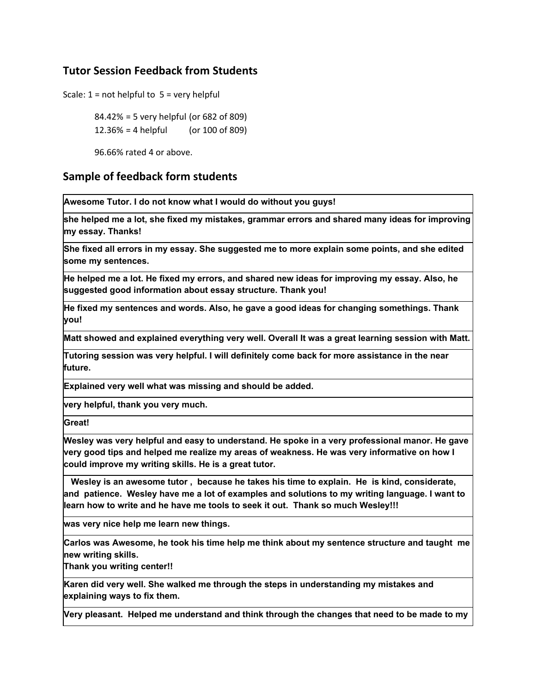## **Tutor Session Feedback from Students**

Scale:  $1 = not helpful to 5 = very helpful$ 

84.42% = 5 very helpful (or 682 of 809)  $12.36\% = 4$  helpful (or 100 of 809)

96.66% rated 4 or above.

#### **Sample of feedback form students**

**Awesome Tutor. I do not know what I would do without you guys!**

**she helped me a lot, she fixed my mistakes, grammar errors and shared many ideas for improving my essay. Thanks!**

**She fixed all errors in my essay. She suggested me to more explain some points, and she edited some my sentences.**

He helped me a lot. He fixed my errors, and shared new ideas for improving my essay. Also, he **suggested good information about essay structure. Thank you!**

**He fixed my sentences and words. Also, he gave a good ideas for changing somethings. Thank you!**

**Matt showed and explained everything very well. Overall It was a great learning session with Matt.**

**Tutoring session was very helpful. I will definitely come back for more assistance in the near future.**

**Explained very well what was missing and should be added.**

**very helpful, thank you very much.**

**Great!**

**Wesley was very helpful and easy to understand. He spoke in a very professional manor. He gave very good tips and helped me realize my areas of weakness. He was very informative on how I could improve my writing skills. He is a great tutor.**

**Wesley is an awesome tutor , because he takes his time to explain. He is kind, considerate, and patience. Wesley have me a lot of examples and solutions to my writing language. I want to learn how to write and he have me tools to seek it out. Thank so much Wesley!!!**

**was very nice help me learn new things.**

**Carlos was Awesome, he took his time help me think about my sentence structure and taught me new writing skills.**

**Thank you writing center!!**

**Karen did very well. She walked me through the steps in understanding my mistakes and explaining ways to fix them.**

**Very pleasant. Helped me understand and think through the changes that need to be made to my**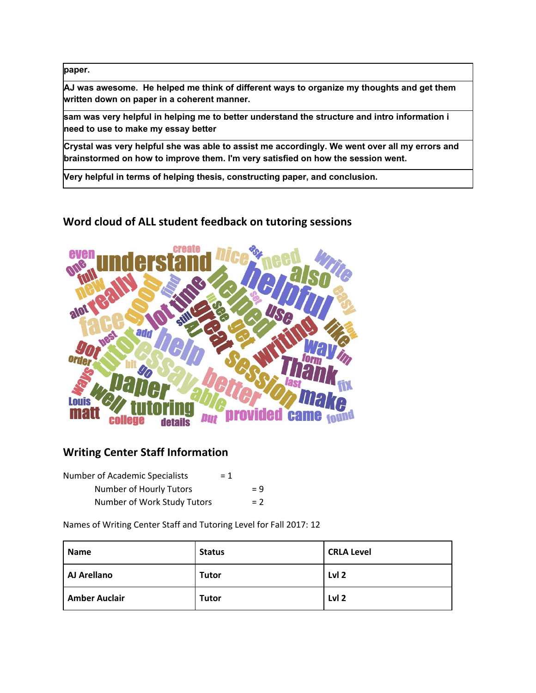**paper.**

**AJ was awesome. He helped me think of different ways to organize my thoughts and get them written down on paper in a coherent manner.**

**sam was very helpful in helping me to better understand the structure and intro information i need to use to make my essay better**

**Crystal was very helpful she was able to assist me accordingly. We went over all my errors and brainstormed on how to improve them. I'm very satisfied on how the session went.**

**Very helpful in terms of helping thesis, constructing paper, and conclusion.**

### **Word cloud of ALL student feedback on tutoring sessions**



#### **Writing Center Staff Information**

| <b>Number of Academic Specialists</b> | $= 1$ |       |
|---------------------------------------|-------|-------|
| Number of Hourly Tutors               |       | $= 9$ |
| Number of Work Study Tutors           |       | $= 2$ |

Names of Writing Center Staff and Tutoring Level for Fall 2017: 12

| <b>Name</b>          | <b>Status</b> | <b>CRLA Level</b> |
|----------------------|---------------|-------------------|
| AJ Arellano          | <b>Tutor</b>  | Lvl <sub>2</sub>  |
| <b>Amber Auclair</b> | <b>Tutor</b>  | Lvl <sub>2</sub>  |